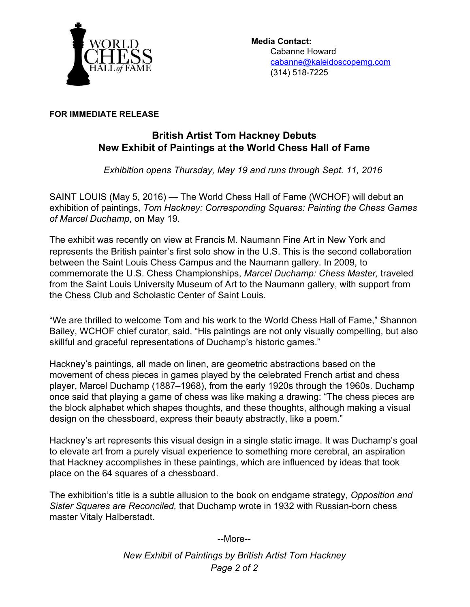

## **FOR IMMEDIATE RELEASE**

## **British Artist Tom Hackney Debuts New Exhibit of Paintings at the World Chess Hall of Fame**

*Exhibition opens Thursday, May 19 and runs through Sept. 11, 2016*

SAINT LOUIS (May 5, 2016) — The World Chess Hall of Fame (WCHOF) will debut an exhibition of paintings, *Tom Hackney: Corresponding Squares: Painting the Chess Games of Marcel Duchamp*, on May 19.

The exhibit was recently on view at Francis M. Naumann Fine Art in New York and represents the British painter's first solo show in the U.S. This is the second collaboration between the Saint Louis Chess Campus and the Naumann gallery. In 2009, to commemorate the U.S. Chess Championships, *Marcel Duchamp: Chess Master,* traveled from the Saint Louis University Museum of Art to the Naumann gallery, with support from the Chess Club and Scholastic Center of Saint Louis.

"We are thrilled to welcome Tom and his work to the World Chess Hall of Fame," Shannon Bailey, WCHOF chief curator, said. "His paintings are not only visually compelling, but also skillful and graceful representations of Duchamp's historic games."

Hackney's paintings, all made on linen, are geometric abstractions based on the movement of chess pieces in games played by the celebrated French artist and chess player, Marcel Duchamp (1887–1968), from the early 1920s through the 1960s. Duchamp once said that playing a game of chess was like making a drawing: "The chess pieces are the block alphabet which shapes thoughts, and these thoughts, although making a visual design on the chessboard, express their beauty abstractly, like a poem."

Hackney's art represents this visual design in a single static image. It was Duchamp's goal to elevate art from a purely visual experience to something more cerebral, an aspiration that Hackney accomplishes in these paintings, which are influenced by ideas that took place on the 64 squares of a chessboard.

The exhibition's title is a subtle allusion to the book on endgame strategy, *Opposition and Sister Squares are Reconciled, that Duchamp wrote in 1932 with Russian-born chess* master Vitaly Halberstadt.

--More--

*New Exhibit of Paintings by British Artist Tom Hackney Page 2 of 2*